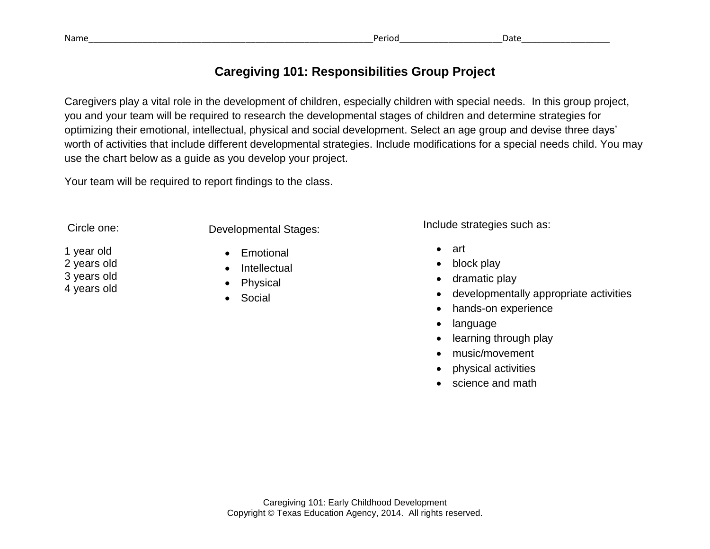| Name | - - - -<br>erioc |  |
|------|------------------|--|
|      |                  |  |

## **Caregiving 101: Responsibilities Group Project**

Caregivers play a vital role in the development of children, especially children with special needs. In this group project, you and your team will be required to research the developmental stages of children and determine strategies for optimizing their emotional, intellectual, physical and social development. Select an age group and devise three days' worth of activities that include different developmental strategies. Include modifications for a special needs child. You may use the chart below as a guide as you develop your project.

Your team will be required to report findings to the class.

Circle one:

1 year old 2 years old 3 years old 4 years old

Developmental Stages:

- Emotional
	- **Intellectual**
	- Physical
	- Social

Include strategies such as:

- art
- block play
- dramatic play
- developmentally appropriate activities
- hands-on experience
- language
- learning through play
- music/movement
- physical activities
- science and math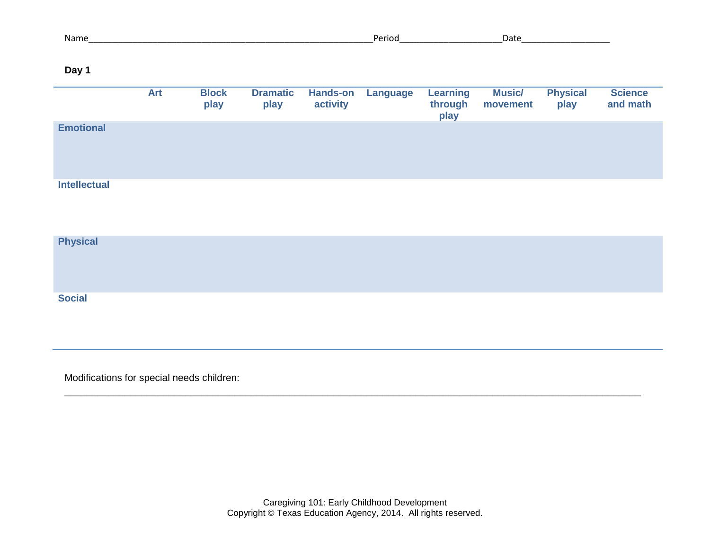| Day 1               |            |                      |                         |                             |                 |                                    |                           |                         |                            |
|---------------------|------------|----------------------|-------------------------|-----------------------------|-----------------|------------------------------------|---------------------------|-------------------------|----------------------------|
|                     | <b>Art</b> | <b>Block</b><br>play | <b>Dramatic</b><br>play | <b>Hands-on</b><br>activity | <b>Language</b> | <b>Learning</b><br>through<br>play | <b>Music/</b><br>movement | <b>Physical</b><br>play | <b>Science</b><br>and math |
| <b>Emotional</b>    |            |                      |                         |                             |                 |                                    |                           |                         |                            |
| <b>Intellectual</b> |            |                      |                         |                             |                 |                                    |                           |                         |                            |
| <b>Physical</b>     |            |                      |                         |                             |                 |                                    |                           |                         |                            |
| <b>Social</b>       |            |                      |                         |                             |                 |                                    |                           |                         |                            |

Modifications for special needs children:

\_\_\_\_\_\_\_\_\_\_\_\_\_\_\_\_\_\_\_\_\_\_\_\_\_\_\_\_\_\_\_\_\_\_\_\_\_\_\_\_\_\_\_\_\_\_\_\_\_\_\_\_\_\_\_\_\_\_\_\_\_\_\_\_\_\_\_\_\_\_\_\_\_\_\_\_\_\_\_\_\_\_\_\_\_\_\_\_\_\_\_\_\_\_\_\_\_\_\_\_\_\_\_\_\_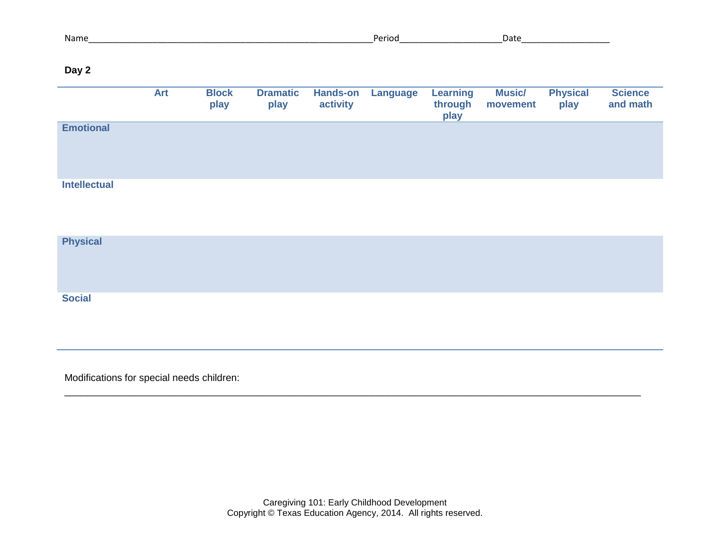| Name_               |            |                      |                         |                             |          | Period Period Period Period Period Period Period Period Period Period Period Period Period Period Period Period<br>Period Period Period Period Period Period Period Period Period Period Period Period Period Period Period Perio |                           |                         |                            |
|---------------------|------------|----------------------|-------------------------|-----------------------------|----------|-----------------------------------------------------------------------------------------------------------------------------------------------------------------------------------------------------------------------------------|---------------------------|-------------------------|----------------------------|
| Day 2               |            |                      |                         |                             |          |                                                                                                                                                                                                                                   |                           |                         |                            |
|                     | <b>Art</b> | <b>Block</b><br>play | <b>Dramatic</b><br>play | <b>Hands-on</b><br>activity | Language | <b>Learning</b><br>through<br>play                                                                                                                                                                                                | <b>Music/</b><br>movement | <b>Physical</b><br>play | <b>Science</b><br>and math |
| <b>Emotional</b>    |            |                      |                         |                             |          |                                                                                                                                                                                                                                   |                           |                         |                            |
| <b>Intellectual</b> |            |                      |                         |                             |          |                                                                                                                                                                                                                                   |                           |                         |                            |
| <b>Physical</b>     |            |                      |                         |                             |          |                                                                                                                                                                                                                                   |                           |                         |                            |
| <b>Social</b>       |            |                      |                         |                             |          |                                                                                                                                                                                                                                   |                           |                         |                            |

Modifications for special needs children:

\_\_\_\_\_\_\_\_\_\_\_\_\_\_\_\_\_\_\_\_\_\_\_\_\_\_\_\_\_\_\_\_\_\_\_\_\_\_\_\_\_\_\_\_\_\_\_\_\_\_\_\_\_\_\_\_\_\_\_\_\_\_\_\_\_\_\_\_\_\_\_\_\_\_\_\_\_\_\_\_\_\_\_\_\_\_\_\_\_\_\_\_\_\_\_\_\_\_\_\_\_\_\_\_\_